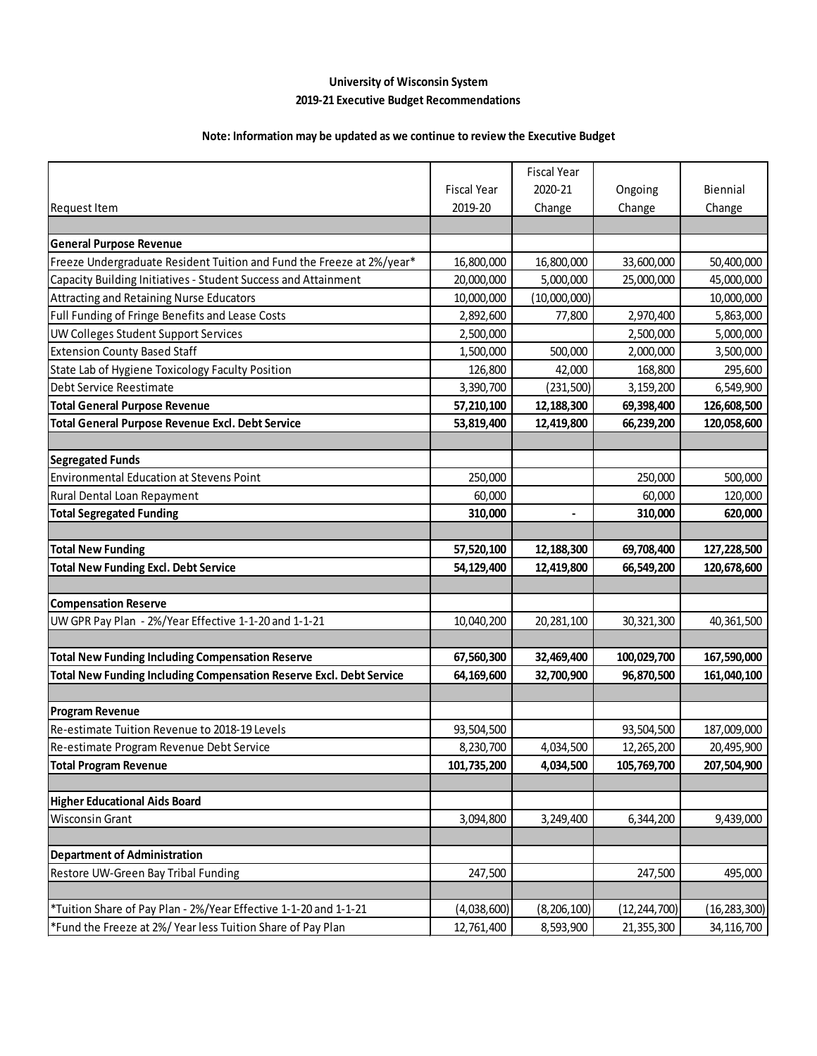#### **University of Wisconsin System 2019-21 Executive Budget Recommendations**

### **Note: Information may be updated as we continue to review the Executive Budget**

|                                                                       |                    | <b>Fiscal Year</b> |                |                |
|-----------------------------------------------------------------------|--------------------|--------------------|----------------|----------------|
|                                                                       | <b>Fiscal Year</b> | 2020-21            | Ongoing        | Biennial       |
| Request Item                                                          | 2019-20            | Change             | Change         | Change         |
|                                                                       |                    |                    |                |                |
| <b>General Purpose Revenue</b>                                        |                    |                    |                |                |
| Freeze Undergraduate Resident Tuition and Fund the Freeze at 2%/year* | 16,800,000         | 16,800,000         | 33,600,000     | 50,400,000     |
| Capacity Building Initiatives - Student Success and Attainment        | 20,000,000         | 5,000,000          | 25,000,000     | 45,000,000     |
| <b>Attracting and Retaining Nurse Educators</b>                       | 10,000,000         | (10,000,000)       |                | 10,000,000     |
| Full Funding of Fringe Benefits and Lease Costs                       | 2,892,600          | 77,800             | 2,970,400      | 5,863,000      |
| UW Colleges Student Support Services                                  | 2,500,000          |                    | 2,500,000      | 5,000,000      |
| <b>Extension County Based Staff</b>                                   | 1,500,000          | 500,000            | 2,000,000      | 3,500,000      |
| State Lab of Hygiene Toxicology Faculty Position                      | 126,800            | 42,000             | 168,800        | 295,600        |
| Debt Service Reestimate                                               | 3,390,700          | (231, 500)         | 3,159,200      | 6,549,900      |
| <b>Total General Purpose Revenue</b>                                  | 57,210,100         | 12,188,300         | 69,398,400     | 126,608,500    |
| Total General Purpose Revenue Excl. Debt Service                      | 53,819,400         | 12,419,800         | 66,239,200     | 120,058,600    |
|                                                                       |                    |                    |                |                |
| <b>Segregated Funds</b>                                               |                    |                    |                |                |
| <b>Environmental Education at Stevens Point</b>                       | 250,000            |                    | 250,000        | 500,000        |
| Rural Dental Loan Repayment                                           | 60,000             |                    | 60,000         | 120,000        |
| <b>Total Segregated Funding</b>                                       | 310,000            |                    | 310,000        | 620,000        |
|                                                                       |                    |                    |                |                |
| <b>Total New Funding</b>                                              | 57,520,100         | 12,188,300         | 69,708,400     | 127,228,500    |
| <b>Total New Funding Excl. Debt Service</b>                           | 54,129,400         | 12,419,800         | 66,549,200     | 120,678,600    |
|                                                                       |                    |                    |                |                |
| <b>Compensation Reserve</b>                                           |                    |                    |                |                |
| UW GPR Pay Plan - 2%/Year Effective 1-1-20 and 1-1-21                 | 10,040,200         | 20, 281, 100       | 30,321,300     | 40,361,500     |
|                                                                       |                    |                    |                |                |
| <b>Total New Funding Including Compensation Reserve</b>               | 67,560,300         | 32,469,400         | 100,029,700    | 167,590,000    |
| Total New Funding Including Compensation Reserve Excl. Debt Service   | 64,169,600         | 32,700,900         | 96,870,500     | 161,040,100    |
|                                                                       |                    |                    |                |                |
| <b>Program Revenue</b>                                                |                    |                    |                |                |
| Re-estimate Tuition Revenue to 2018-19 Levels                         | 93,504,500         |                    | 93,504,500     | 187,009,000    |
| Re-estimate Program Revenue Debt Service                              | 8,230,700          | 4,034,500          | 12,265,200     | 20,495,900     |
| <b>Total Program Revenue</b>                                          | 101,735,200        | 4,034,500          | 105,769,700    | 207,504,900    |
|                                                                       |                    |                    |                |                |
| <b>Higher Educational Aids Board</b>                                  |                    |                    |                |                |
| <b>Wisconsin Grant</b>                                                | 3,094,800          | 3,249,400          | 6,344,200      | 9,439,000      |
|                                                                       |                    |                    |                |                |
| <b>Department of Administration</b>                                   |                    |                    |                |                |
| Restore UW-Green Bay Tribal Funding                                   | 247,500            |                    | 247,500        | 495,000        |
|                                                                       |                    |                    |                |                |
| *Tuition Share of Pay Plan - 2%/Year Effective 1-1-20 and 1-1-21      | (4,038,600)        | (8, 206, 100)      | (12, 244, 700) | (16, 283, 300) |
| *Fund the Freeze at 2%/ Year less Tuition Share of Pay Plan           | 12,761,400         | 8,593,900          | 21,355,300     | 34,116,700     |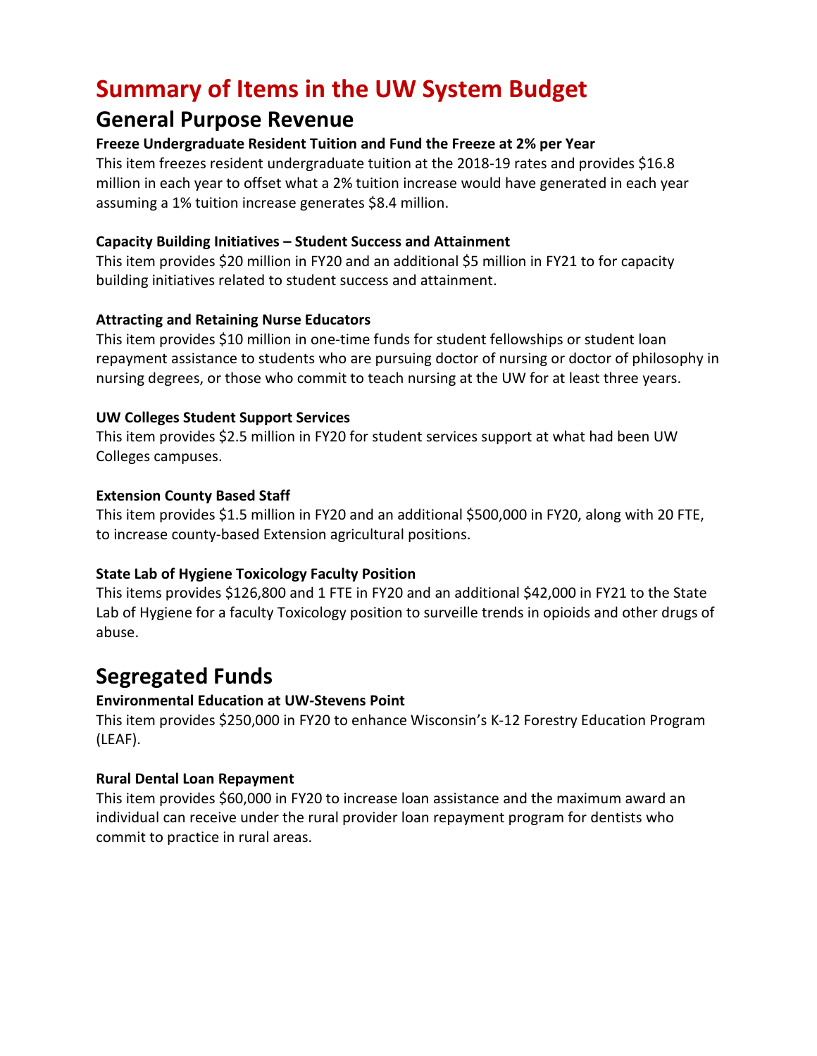# **Summary of Items in the UW System Budget**

### **General Purpose Revenue**

#### **Freeze Undergraduate Resident Tuition and Fund the Freeze at 2% per Year**

This item freezes resident undergraduate tuition at the 2018-19 rates and provides \$16.8 million in each year to offset what a 2% tuition increase would have generated in each year assuming a 1% tuition increase generates \$8.4 million.

#### **Capacity Building Initiatives – Student Success and Attainment**

This item provides \$20 million in FY20 and an additional \$5 million in FY21 to for capacity building initiatives related to student success and attainment.

#### **Attracting and Retaining Nurse Educators**

This item provides \$10 million in one-time funds for student fellowships or student loan repayment assistance to students who are pursuing doctor of nursing or doctor of philosophy in nursing degrees, or those who commit to teach nursing at the UW for at least three years.

### **UW Colleges Student Support Services**

This item provides \$2.5 million in FY20 for student services support at what had been UW Colleges campuses.

#### **Extension County Based Staff**

This item provides \$1.5 million in FY20 and an additional \$500,000 in FY20, along with 20 FTE, to increase county-based Extension agricultural positions.

### **State Lab of Hygiene Toxicology Faculty Position**

This items provides \$126,800 and 1 FTE in FY20 and an additional \$42,000 in FY21 to the State Lab of Hygiene for a faculty Toxicology position to surveille trends in opioids and other drugs of abuse.

## **Segregated Funds**

### **Environmental Education at UW-Stevens Point**

This item provides \$250,000 in FY20 to enhance Wisconsin's K-12 Forestry Education Program (LEAF).

### **Rural Dental Loan Repayment**

This item provides \$60,000 in FY20 to increase loan assistance and the maximum award an individual can receive under the rural provider loan repayment program for dentists who commit to practice in rural areas.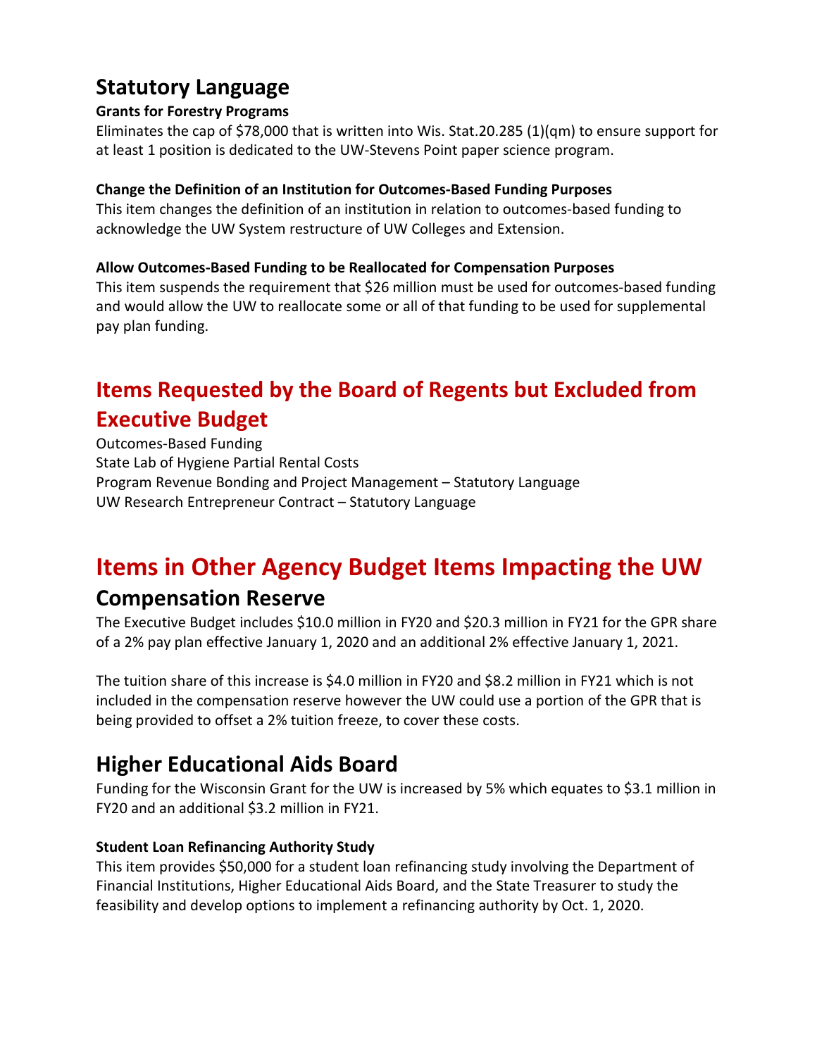# **Statutory Language**

### **Grants for Forestry Programs**

Eliminates the cap of \$78,000 that is written into Wis. Stat.20.285 (1)(qm) to ensure support for at least 1 position is dedicated to the UW-Stevens Point paper science program.

### **Change the Definition of an Institution for Outcomes-Based Funding Purposes**

This item changes the definition of an institution in relation to outcomes-based funding to acknowledge the UW System restructure of UW Colleges and Extension.

### **Allow Outcomes-Based Funding to be Reallocated for Compensation Purposes**

This item suspends the requirement that \$26 million must be used for outcomes-based funding and would allow the UW to reallocate some or all of that funding to be used for supplemental pay plan funding.

# **Items Requested by the Board of Regents but Excluded from Executive Budget**

Outcomes-Based Funding State Lab of Hygiene Partial Rental Costs Program Revenue Bonding and Project Management – Statutory Language UW Research Entrepreneur Contract – Statutory Language

# **Items in Other Agency Budget Items Impacting the UW**

## **Compensation Reserve**

The Executive Budget includes \$10.0 million in FY20 and \$20.3 million in FY21 for the GPR share of a 2% pay plan effective January 1, 2020 and an additional 2% effective January 1, 2021.

The tuition share of this increase is \$4.0 million in FY20 and \$8.2 million in FY21 which is not included in the compensation reserve however the UW could use a portion of the GPR that is being provided to offset a 2% tuition freeze, to cover these costs.

# **Higher Educational Aids Board**

Funding for the Wisconsin Grant for the UW is increased by 5% which equates to \$3.1 million in FY20 and an additional \$3.2 million in FY21.

### **Student Loan Refinancing Authority Study**

This item provides \$50,000 for a student loan refinancing study involving the Department of Financial Institutions, Higher Educational Aids Board, and the State Treasurer to study the feasibility and develop options to implement a refinancing authority by Oct. 1, 2020.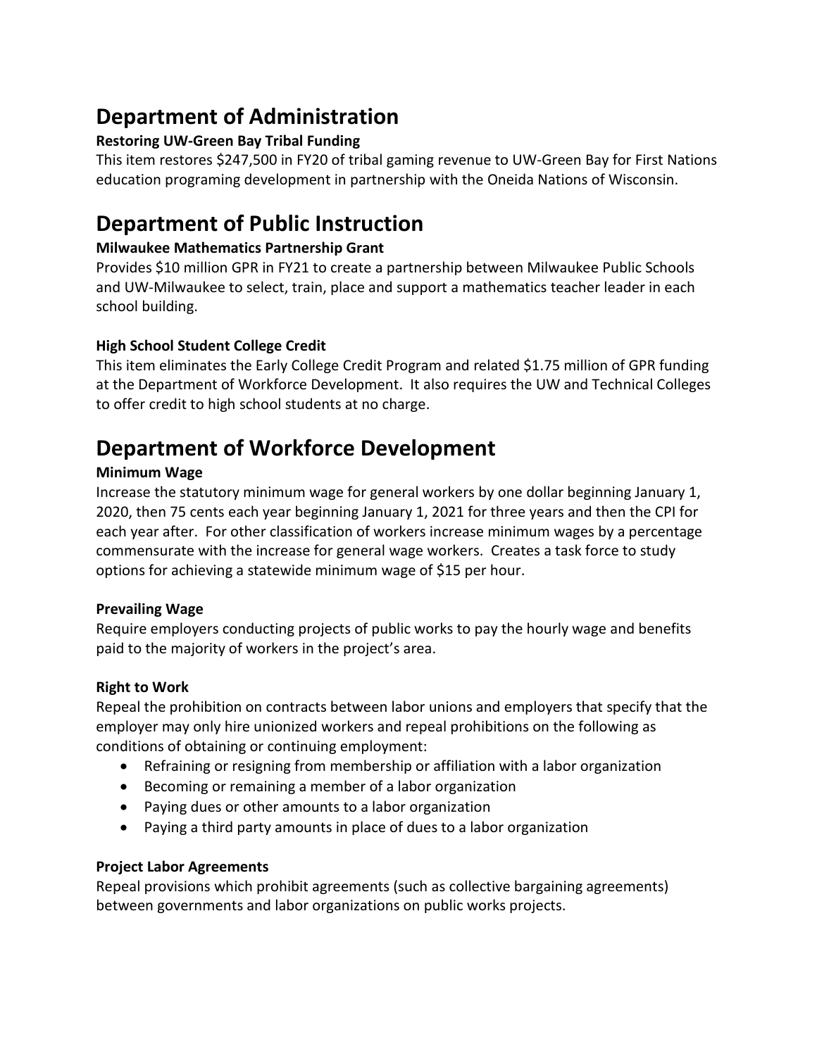# **Department of Administration**

### **Restoring UW-Green Bay Tribal Funding**

This item restores \$247,500 in FY20 of tribal gaming revenue to UW-Green Bay for First Nations education programing development in partnership with the Oneida Nations of Wisconsin.

## **Department of Public Instruction**

### **Milwaukee Mathematics Partnership Grant**

Provides \$10 million GPR in FY21 to create a partnership between Milwaukee Public Schools and UW-Milwaukee to select, train, place and support a mathematics teacher leader in each school building.

### **High School Student College Credit**

This item eliminates the Early College Credit Program and related \$1.75 million of GPR funding at the Department of Workforce Development. It also requires the UW and Technical Colleges to offer credit to high school students at no charge.

# **Department of Workforce Development**

### **Minimum Wage**

Increase the statutory minimum wage for general workers by one dollar beginning January 1, 2020, then 75 cents each year beginning January 1, 2021 for three years and then the CPI for each year after. For other classification of workers increase minimum wages by a percentage commensurate with the increase for general wage workers. Creates a task force to study options for achieving a statewide minimum wage of \$15 per hour.

### **Prevailing Wage**

Require employers conducting projects of public works to pay the hourly wage and benefits paid to the majority of workers in the project's area.

### **Right to Work**

Repeal the prohibition on contracts between labor unions and employers that specify that the employer may only hire unionized workers and repeal prohibitions on the following as conditions of obtaining or continuing employment:

- Refraining or resigning from membership or affiliation with a labor organization
- Becoming or remaining a member of a labor organization
- Paying dues or other amounts to a labor organization
- Paying a third party amounts in place of dues to a labor organization

### **Project Labor Agreements**

Repeal provisions which prohibit agreements (such as collective bargaining agreements) between governments and labor organizations on public works projects.